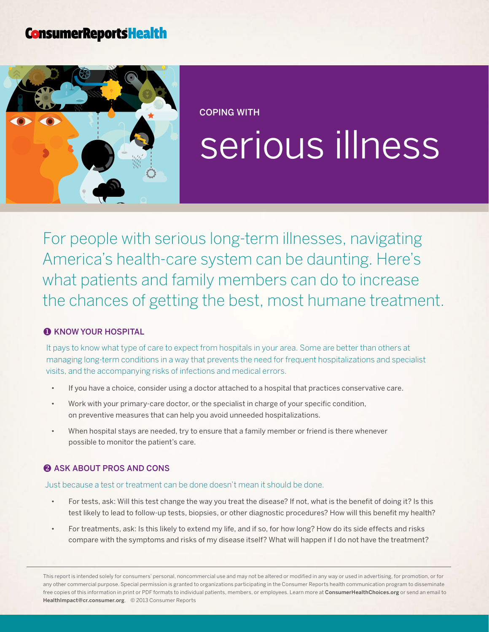# **ConsumerReportsHealth**



Coping with

# serious illness

For people with serious long-term illnesses, navigating America's health-care system can be daunting. Here's what patients and family members can do to increase the chances of getting the best, most humane treatment.

## **O KNOW YOUR HOSPITAL**

It pays to know what type of care to expect from hospitals in your area. Some are better than others at managing long-term conditions in a way that prevents the need for frequent hospitalizations and specialist visits, and the accompanying risks of infections and medical errors.

- If you have a choice, consider using a doctor attached to a hospital that practices conservative care.
- Work with your primary-care doctor, or the specialist in charge of your specific condition, on preventive measures that can help you avoid unneeded hospitalizations.
- When hospital stays are needed, try to ensure that a family member or friend is there whenever possible to monitor the patient's care.

#### **2 ASK ABOUT PROS AND CONS**

#### Just because a test or treatment can be done doesn't mean it should be done.

- For tests, ask: Will this test change the way you treat the disease? If not, what is the benefit of doing it? Is this test likely to lead to follow-up tests, biopsies, or other diagnostic procedures? How will this benefit my health?
- For treatments, ask: Is this likely to extend my life, and if so, for how long? How do its side effects and risks compare with the symptoms and risks of my disease itself? What will happen if I do not have the treatment?

This report is intended solely for consumers' personal, noncommercial use and may not be altered or modified in any way or used in advertising, for promotion, or for any other commercial purpose. Special permission is granted to organizations participating in the Consumer Reports health communication program to disseminate free copies of this information in print or PDF formats to individual patients, members, or employees. Learn more at [ConsumerHealthChoices.org](http://www.ConsumerHealthChoices.org) or send an email to HealthImpact@cr.consumer.org. © 2013 Consumer Reports